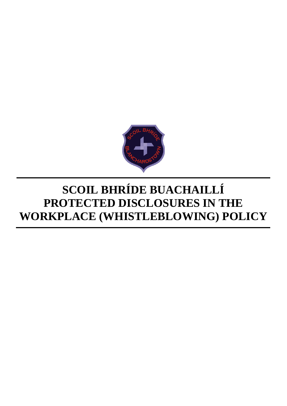

# **SCOIL BHRÍDE BUACHAILLÍ PROTECTED DISCLOSURES IN THE WORKPLACE (WHISTLEBLOWING) POLICY**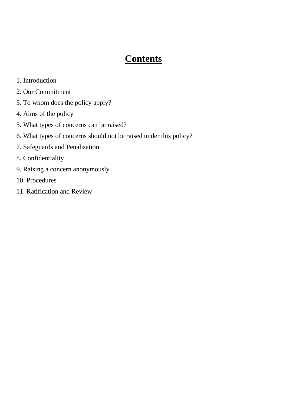## **Contents**

- 1. Introduction
- 2. Our Commitment
- 3. To whom does the policy apply?
- 4. Aims of the policy
- 5. What types of concerns can be raised?
- 6. What types of concerns should not be raised under this policy?
- 7. Safeguards and Penalisation
- 8. Confidentiality
- 9. Raising a concern anonymously
- 10. Procedures
- 11. Ratification and Review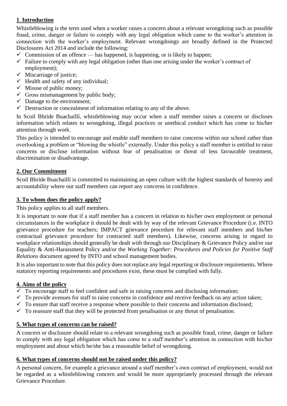### **1**. **Introduction**

Whistleblowing is the term used when a worker raises a concern about a relevant wrongdoing such as possible fraud, crime, danger or failure to comply with any legal obligation which came to the worker's attention in connection with the worker's employment. Relevant wrongdoings are broadly defined in the Protected Disclosures Act 2014 and include the following:

- $\checkmark$  Commission of an offence has happened, is happening, or is likely to happen;
- $\checkmark$  Failure to comply with any legal obligation (other than one arising under the worker's contract of employment);
- $\checkmark$  Miscarriage of justice;
- $\checkmark$  Health and safety of any individual;
- $\checkmark$  Misuse of public money;
- $\checkmark$  Gross mismanagement by public body;
- $\checkmark$  Damage to the environment;
- $\checkmark$  Destruction or concealment of information relating to any of the above.

In Scoil Bhríde Buachaillí, whistleblowing may occur when a staff member raises a concern or discloses information which relates to wrongdoing, illegal practices or unethical conduct which has come to his/her attention through work.

This policy is intended to encourage and enable staff members to raise concerns within our school rather than overlooking a problem or "blowing the whistle" externally. Under this policy a staff member is entitled to raise concerns or disclose information without fear of penalisation or threat of less favourable treatment, discrimination or disadvantage.

#### **2. Our Commitment**

Scoil Bhríde Buachaillí is committed to maintaining an open culture with the highest standards of honesty and accountability where our staff members can report any concerns in confidence.

#### **3. To whom does the policy apply?**

This policy applies to all staff members.

It is important to note that if a staff member has a concern in relation to his/her own employment or personal circumstances in the workplace it should be dealt with by way of the relevant Grievance Procedure (i.e. INTO grievance procedure for teachers; IMPACT grievance procedure for relevant staff members and his/her contractual grievance procedure for contracted staff members). Likewise, concerns arising in regard to workplace relationships should generally be dealt with through our Disciplinary & Grievance Policy and/or our Equality & Anti-Harassment Policy and/or the *Working Together: Procedures and Policies for Positive Staff Relations* document agreed by INTO and school management bodies.

It is also important to note that this policy does not replace any legal reporting or disclosure requirements. Where statutory reporting requirements and procedures exist, these must be complied with fully.

#### **4. Aims of the policy**

- $\checkmark$  To encourage staff to feel confident and safe in raising concerns and disclosing information;
- $\checkmark$  To provide avenues for staff to raise concerns in confidence and receive feedback on any action taken;
- $\checkmark$  To ensure that staff receive a response where possible to their concerns and information disclosed;
- $\checkmark$  To reassure staff that they will be protected from penalisation or any threat of penalisation.

#### **5. What types of concerns can be raised?**

A concern or disclosure should relate to a relevant wrongdoing such as possible fraud, crime, danger or failure to comply with any legal obligation which has come to a staff member's attention in connection with his/her employment and about which he/she has a reasonable belief of wrongdoing.

#### **6. What types of concerns should not be raised under this policy?**

A personal concern, for example a grievance around a staff member's own contract of employment, would not be regarded as a whistleblowing concern and would be more appropriately processed through the relevant Grievance Procedure.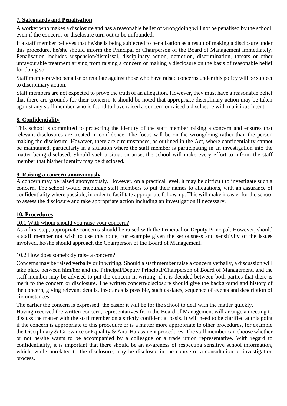#### **7. Safeguards and Penalisation**

A worker who makes a disclosure and has a reasonable belief of wrongdoing will not be penalised by the school, even if the concerns or disclosure turn out to be unfounded.

If a staff member believes that he/she is being subjected to penalisation as a result of making a disclosure under this procedure, he/she should inform the Principal or Chairperson of the Board of Management immediately. Penalisation includes suspension/dismissal, disciplinary action, demotion, discrimination, threats or other unfavourable treatment arising from raising a concern or making a disclosure on the basis of reasonable belief for doing so.

Staff members who penalise or retaliate against those who have raised concerns under this policy will be subject to disciplinary action.

Staff members are not expected to prove the truth of an allegation. However, they must have a reasonable belief that there are grounds for their concern. It should be noted that appropriate disciplinary action may be taken against any staff member who is found to have raised a concern or raised a disclosure with malicious intent.

#### **8. Confidentiality**

This school is committed to protecting the identity of the staff member raising a concern and ensures that relevant disclosures are treated in confidence. The focus will be on the wrongdoing rather than the person making the disclosure. However, there are circumstances, as outlined in the Act, where confidentiality cannot be maintained, particularly in a situation where the staff member is participating in an investigation into the matter being disclosed. Should such a situation arise, the school will make every effort to inform the staff member that his/her identity may be disclosed.

#### **9. Raising a concern anonymously**

A concern may be raised anonymously. However, on a practical level, it may be difficult to investigate such a concern. The school would encourage staff members to put their names to allegations, with an assurance of confidentiality where possible, in order to facilitate appropriate follow-up. This will make it easier for the school to assess the disclosure and take appropriate action including an investigation if necessary.

#### **10. Procedures**

#### 10.1 With whom should you raise your concern?

As a first step, appropriate concerns should be raised with the Principal or Deputy Principal. However, should a staff member not wish to use this route, for example given the seriousness and sensitivity of the issues involved, he/she should approach the Chairperson of the Board of Management.

#### 10.2 How does somebody raise a concern?

Concerns may be raised verbally or in writing. Should a staff member raise a concern verbally, a discussion will take place between him/her and the Principal/Deputy Principal/Chairperson of Board of Management, and the staff member may be advised to put the concern in writing, if it is decided between both parties that there is merit to the concern or disclosure. The written concern/disclosure should give the background and history of the concern, giving relevant details, insofar as is possible, such as dates, sequence of events and description of circumstances.

The earlier the concern is expressed, the easier it will be for the school to deal with the matter quickly.

Having received the written concern, representatives from the Board of Management will arrange a meeting to discuss the matter with the staff member on a strictly confidential basis. It will need to be clarified at this point if the concern is appropriate to this procedure or is a matter more appropriate to other procedures, for example the Disciplinary & Grievance or Equality & Anti-Harassment procedures. The staff member can choose whether or not he/she wants to be accompanied by a colleague or a trade union representative. With regard to confidentiality, it is important that there should be an awareness of respecting sensitive school information, which, while unrelated to the disclosure, may be disclosed in the course of a consultation or investigation process.